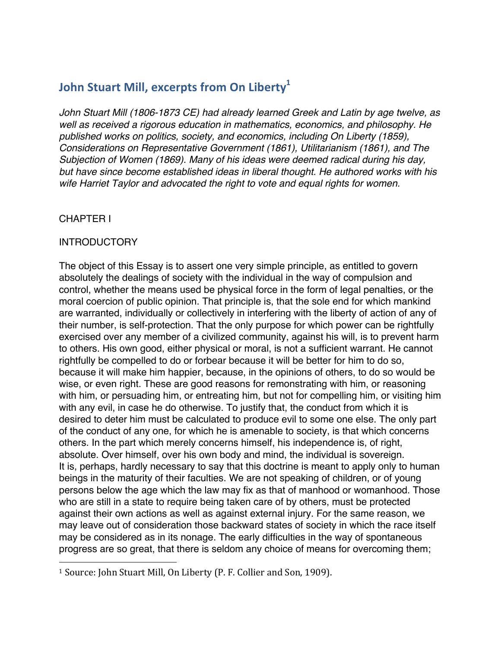## **John Stuart Mill, excerpts from On Liberty**<sup>1</sup>

*John Stuart Mill (1806-1873 CE) had already learned Greek and Latin by age twelve, as well as received a rigorous education in mathematics, economics, and philosophy. He published works on politics, society, and economics, including On Liberty (1859), Considerations on Representative Government (1861), Utilitarianism (1861), and The Subjection of Women (1869). Many of his ideas were deemed radical during his day, but have since become established ideas in liberal thought. He authored works with his wife Harriet Taylor and advocated the right to vote and equal rights for women.*

### CHAPTER I

#### INTRODUCTORY

The object of this Essay is to assert one very simple principle, as entitled to govern absolutely the dealings of society with the individual in the way of compulsion and control, whether the means used be physical force in the form of legal penalties, or the moral coercion of public opinion. That principle is, that the sole end for which mankind are warranted, individually or collectively in interfering with the liberty of action of any of their number, is self-protection. That the only purpose for which power can be rightfully exercised over any member of a civilized community, against his will, is to prevent harm to others. His own good, either physical or moral, is not a sufficient warrant. He cannot rightfully be compelled to do or forbear because it will be better for him to do so, because it will make him happier, because, in the opinions of others, to do so would be wise, or even right. These are good reasons for remonstrating with him, or reasoning with him, or persuading him, or entreating him, but not for compelling him, or visiting him with any evil, in case he do otherwise. To justify that, the conduct from which it is desired to deter him must be calculated to produce evil to some one else. The only part of the conduct of any one, for which he is amenable to society, is that which concerns others. In the part which merely concerns himself, his independence is, of right, absolute. Over himself, over his own body and mind, the individual is sovereign. It is, perhaps, hardly necessary to say that this doctrine is meant to apply only to human beings in the maturity of their faculties. We are not speaking of children, or of young persons below the age which the law may fix as that of manhood or womanhood. Those who are still in a state to require being taken care of by others, must be protected against their own actions as well as against external injury. For the same reason, we may leave out of consideration those backward states of society in which the race itself may be considered as in its nonage. The early difficulties in the way of spontaneous progress are so great, that there is seldom any choice of means for overcoming them;

 

<sup>&</sup>lt;sup>1</sup> Source: John Stuart Mill, On Liberty (P. F. Collier and Son, 1909).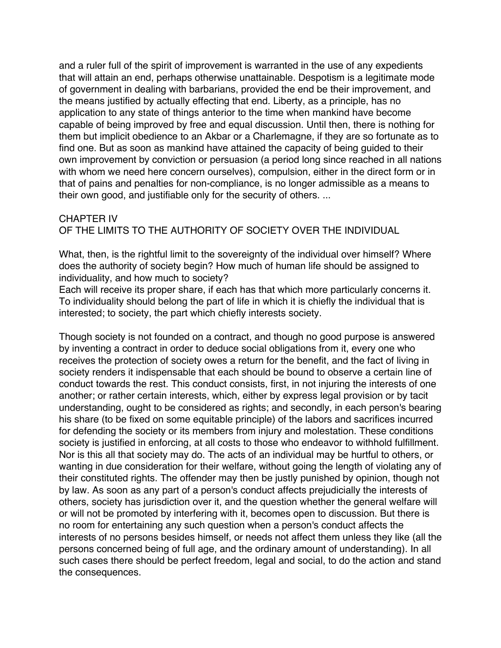and a ruler full of the spirit of improvement is warranted in the use of any expedients that will attain an end, perhaps otherwise unattainable. Despotism is a legitimate mode of government in dealing with barbarians, provided the end be their improvement, and the means justified by actually effecting that end. Liberty, as a principle, has no application to any state of things anterior to the time when mankind have become capable of being improved by free and equal discussion. Until then, there is nothing for them but implicit obedience to an Akbar or a Charlemagne, if they are so fortunate as to find one. But as soon as mankind have attained the capacity of being guided to their own improvement by conviction or persuasion (a period long since reached in all nations with whom we need here concern ourselves), compulsion, either in the direct form or in that of pains and penalties for non-compliance, is no longer admissible as a means to their own good, and justifiable only for the security of others. ...

## CHAPTER IV OF THE LIMITS TO THE AUTHORITY OF SOCIETY OVER THE INDIVIDUAL

What, then, is the rightful limit to the sovereignty of the individual over himself? Where does the authority of society begin? How much of human life should be assigned to individuality, and how much to society?

Each will receive its proper share, if each has that which more particularly concerns it. To individuality should belong the part of life in which it is chiefly the individual that is interested; to society, the part which chiefly interests society.

Though society is not founded on a contract, and though no good purpose is answered by inventing a contract in order to deduce social obligations from it, every one who receives the protection of society owes a return for the benefit, and the fact of living in society renders it indispensable that each should be bound to observe a certain line of conduct towards the rest. This conduct consists, first, in not injuring the interests of one another; or rather certain interests, which, either by express legal provision or by tacit understanding, ought to be considered as rights; and secondly, in each person's bearing his share (to be fixed on some equitable principle) of the labors and sacrifices incurred for defending the society or its members from injury and molestation. These conditions society is justified in enforcing, at all costs to those who endeavor to withhold fulfillment. Nor is this all that society may do. The acts of an individual may be hurtful to others, or wanting in due consideration for their welfare, without going the length of violating any of their constituted rights. The offender may then be justly punished by opinion, though not by law. As soon as any part of a person's conduct affects prejudicially the interests of others, society has jurisdiction over it, and the question whether the general welfare will or will not be promoted by interfering with it, becomes open to discussion. But there is no room for entertaining any such question when a person's conduct affects the interests of no persons besides himself, or needs not affect them unless they like (all the persons concerned being of full age, and the ordinary amount of understanding). In all such cases there should be perfect freedom, legal and social, to do the action and stand the consequences.